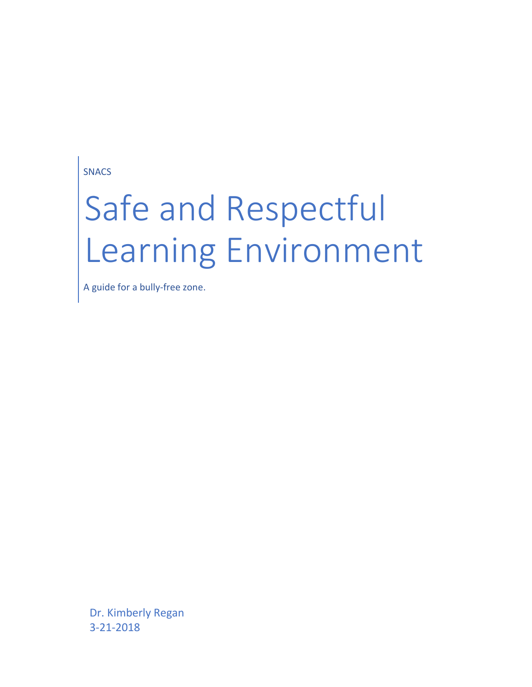SNACS

# Safe and Respectful Learning Environment

A guide for a bully-free zone.

Dr. Kimberly Regan 3-21-2018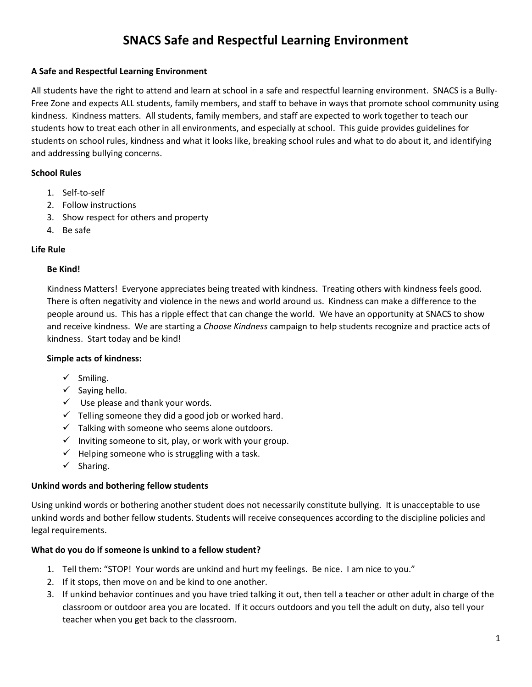### **A Safe and Respectful Learning Environment**

All students have the right to attend and learn at school in a safe and respectful learning environment. SNACS is a Bully-Free Zone and expects ALL students, family members, and staff to behave in ways that promote school community using kindness. Kindness matters. All students, family members, and staff are expected to work together to teach our students how to treat each other in all environments, and especially at school. This guide provides guidelines for students on school rules, kindness and what it looks like, breaking school rules and what to do about it, and identifying and addressing bullying concerns.

#### **School Rules**

- 1. Self-to-self
- 2. Follow instructions
- 3. Show respect for others and property
- 4. Be safe

#### **Life Rule**

#### **Be Kind!**

Kindness Matters! Everyone appreciates being treated with kindness. Treating others with kindness feels good. There is often negativity and violence in the news and world around us. Kindness can make a difference to the people around us. This has a ripple effect that can change the world. We have an opportunity at SNACS to show and receive kindness. We are starting a *Choose Kindness* campaign to help students recognize and practice acts of kindness. Start today and be kind!

#### **Simple acts of kindness:**

- $\checkmark$  Smiling.
- $\checkmark$  Saying hello.
- $\checkmark$  Use please and thank your words.
- $\checkmark$  Telling someone they did a good job or worked hard.
- $\checkmark$  Talking with someone who seems alone outdoors.
- $\checkmark$  Inviting someone to sit, play, or work with your group.
- $\checkmark$  Helping someone who is struggling with a task.
- ✓ Sharing.

#### **Unkind words and bothering fellow students**

Using unkind words or bothering another student does not necessarily constitute bullying. It is unacceptable to use unkind words and bother fellow students. Students will receive consequences according to the discipline policies and legal requirements.

#### **What do you do if someone is unkind to a fellow student?**

- 1. Tell them: "STOP! Your words are unkind and hurt my feelings. Be nice. I am nice to you."
- 2. If it stops, then move on and be kind to one another.
- 3. If unkind behavior continues and you have tried talking it out, then tell a teacher or other adult in charge of the classroom or outdoor area you are located. If it occurs outdoors and you tell the adult on duty, also tell your teacher when you get back to the classroom.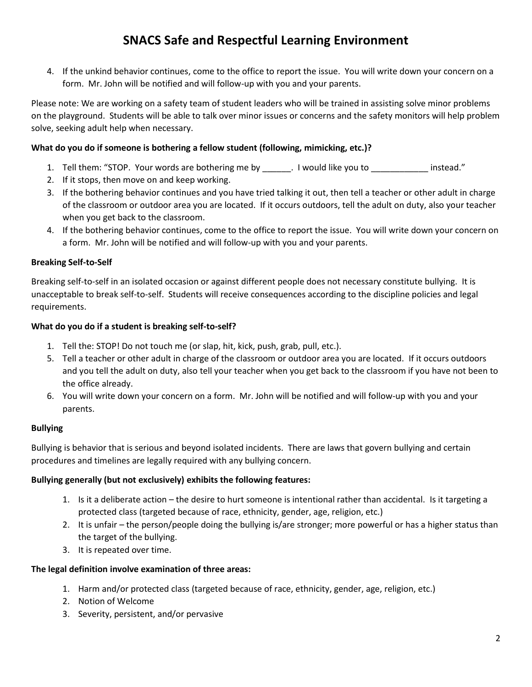4. If the unkind behavior continues, come to the office to report the issue. You will write down your concern on a form. Mr. John will be notified and will follow-up with you and your parents.

Please note: We are working on a safety team of student leaders who will be trained in assisting solve minor problems on the playground. Students will be able to talk over minor issues or concerns and the safety monitors will help problem solve, seeking adult help when necessary.

### **What do you do if someone is bothering a fellow student (following, mimicking, etc.)?**

- 1. Tell them: "STOP. Your words are bothering me by \_\_\_\_\_\_\_. I would like you to \_\_\_\_\_\_\_\_\_\_\_\_\_ instead."
- 2. If it stops, then move on and keep working.
- 3. If the bothering behavior continues and you have tried talking it out, then tell a teacher or other adult in charge of the classroom or outdoor area you are located. If it occurs outdoors, tell the adult on duty, also your teacher when you get back to the classroom.
- 4. If the bothering behavior continues, come to the office to report the issue. You will write down your concern on a form. Mr. John will be notified and will follow-up with you and your parents.

#### **Breaking Self-to-Self**

Breaking self-to-self in an isolated occasion or against different people does not necessary constitute bullying. It is unacceptable to break self-to-self. Students will receive consequences according to the discipline policies and legal requirements.

#### **What do you do if a student is breaking self-to-self?**

- 1. Tell the: STOP! Do not touch me (or slap, hit, kick, push, grab, pull, etc.).
- 5. Tell a teacher or other adult in charge of the classroom or outdoor area you are located. If it occurs outdoors and you tell the adult on duty, also tell your teacher when you get back to the classroom if you have not been to the office already.
- 6. You will write down your concern on a form. Mr. John will be notified and will follow-up with you and your parents.

#### **Bullying**

Bullying is behavior that is serious and beyond isolated incidents. There are laws that govern bullying and certain procedures and timelines are legally required with any bullying concern.

#### **Bullying generally (but not exclusively) exhibits the following features:**

- 1. Is it a deliberate action the desire to hurt someone is intentional rather than accidental. Is it targeting a protected class (targeted because of race, ethnicity, gender, age, religion, etc.)
- 2. It is unfair the person/people doing the bullying is/are stronger; more powerful or has a higher status than the target of the bullying.
- 3. It is repeated over time.

#### **The legal definition involve examination of three areas:**

- 1. Harm and/or protected class (targeted because of race, ethnicity, gender, age, religion, etc.)
- 2. Notion of Welcome
- 3. Severity, persistent, and/or pervasive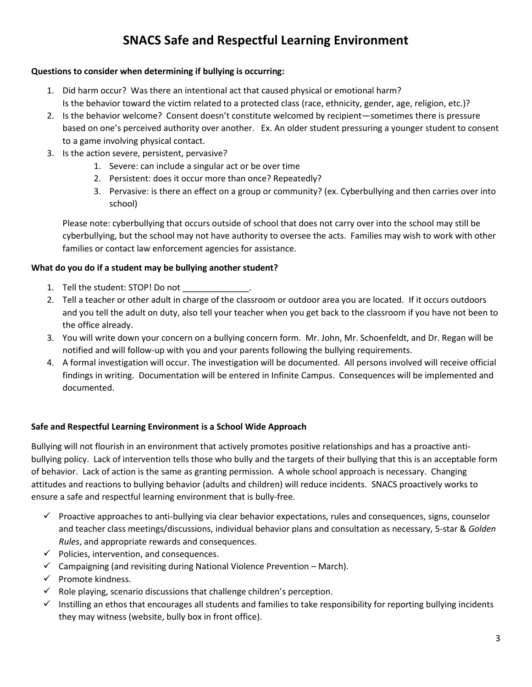## **Questions to consider when determining if bullying is occurring:**

- 1. Did harm occur? Was there an intentional act that caused physical or emotional harm? Is the behavior toward the victim related to a protected class (race, ethnicity, gender, age, religion, etc.)?
- 2. Is the behavior welcome? Consent doesn't constitute welcomed by recipient—sometimes there is pressure based on one's perceived authority over another. Ex. An older student pressuring a younger student to consent to a game involving physical contact.
- 3. Is the action severe, persistent, pervasive?
	- 1. Severe: can include a singular act or be over time
	- 2. Persistent: does it occur more than once? Repeatedly?
	- 3. Pervasive: is there an effect on a group or community? (ex. Cyberbullying and then carries over into school)

Please note: cyberbullying that occurs outside of school that does not carry over into the school may still be cyberbullying, but the school may not have authority to oversee the acts. Families may wish to work with other families or contact law enforcement agencies for assistance.

## **What do you do if a student may be bullying another student?**

- 1. Tell the student: STOP! Do not
- 2. Tell a teacher or other adult in charge of the classroom or outdoor area you are located. If it occurs outdoors and you tell the adult on duty, also tell your teacher when you get back to the classroom if you have not been to the office already.
- 3. You will write down your concern on a bullying concern form. Mr. John, Mr. Schoenfeldt, and Dr. Regan will be notified and will follow-up with you and your parents following the bullying requirements.
- 4. A formal investigation will occur. The investigation will be documented. All persons involved will receive official findings in writing. Documentation will be entered in Infinite Campus. Consequences will be implemented and documented.

## **Safe and Respectful Learning Environment is a School Wide Approach**

Bullying will not flourish in an environment that actively promotes positive relationships and has a proactive antibullying policy. Lack of intervention tells those who bully and the targets of their bullying that this is an acceptable form of behavior. Lack of action is the same as granting permission. A whole school approach is necessary. Changing attitudes and reactions to bullying behavior (adults and children) will reduce incidents. SNACS proactively works to ensure a safe and respectful learning environment that is bully-free.

- $\checkmark$  Proactive approaches to anti-bullying via clear behavior expectations, rules and consequences, signs, counselor and teacher class meetings/discussions, individual behavior plans and consultation as necessary, 5-star & *Golden Rules*, and appropriate rewards and consequences.
- $\checkmark$  Policies, intervention, and consequences.
- $\checkmark$  Campaigning (and revisiting during National Violence Prevention March).
- ✓ Promote kindness.
- $\checkmark$  Role playing, scenario discussions that challenge children's perception.
- $\checkmark$  Instilling an ethos that encourages all students and families to take responsibility for reporting bullying incidents they may witness (website, bully box in front office).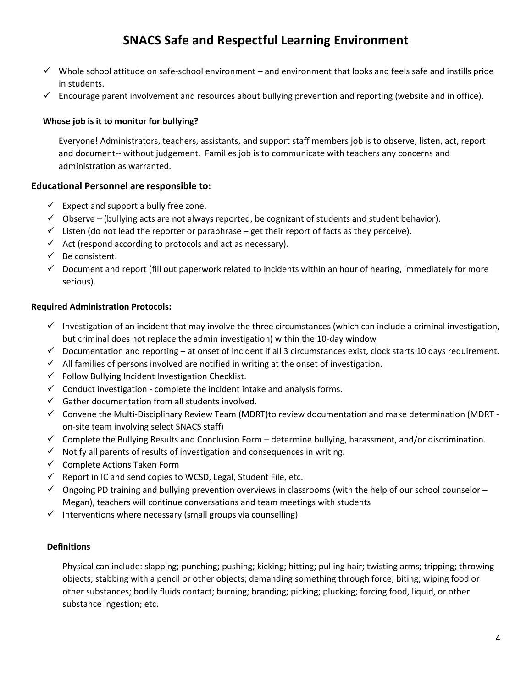- ✓ Whole school attitude on safe-school environment and environment that looks and feels safe and instills pride in students.
- $\checkmark$  Encourage parent involvement and resources about bullying prevention and reporting (website and in office).

#### **Whose job is it to monitor for bullying?**

Everyone! Administrators, teachers, assistants, and support staff members job is to observe, listen, act, report and document-- without judgement. Families job is to communicate with teachers any concerns and administration as warranted.

## **Educational Personnel are responsible to:**

- $\checkmark$  Expect and support a bully free zone.
- $\checkmark$  Observe (bullying acts are not always reported, be cognizant of students and student behavior).
- $\checkmark$  Listen (do not lead the reporter or paraphrase get their report of facts as they perceive).
- $\checkmark$  Act (respond according to protocols and act as necessary).
- ✓ Be consistent.
- $\checkmark$  Document and report (fill out paperwork related to incidents within an hour of hearing, immediately for more serious).

#### **Required Administration Protocols:**

- $\checkmark$  Investigation of an incident that may involve the three circumstances (which can include a criminal investigation, but criminal does not replace the admin investigation) within the 10-day window
- $\checkmark$  Documentation and reporting at onset of incident if all 3 circumstances exist, clock starts 10 days requirement.
- $\checkmark$  All families of persons involved are notified in writing at the onset of investigation.
- ✓ Follow Bullying Incident Investigation Checklist.
- $\checkmark$  Conduct investigation complete the incident intake and analysis forms.
- $\checkmark$  Gather documentation from all students involved.
- ✓ Convene the Multi-Disciplinary Review Team (MDRT)to review documentation and make determination (MDRT on-site team involving select SNACS staff)
- ✓ Complete the Bullying Results and Conclusion Form determine bullying, harassment, and/or discrimination.
- $\checkmark$  Notify all parents of results of investigation and consequences in writing.
- $\checkmark$  Complete Actions Taken Form
- $\checkmark$  Report in IC and send copies to WCSD, Legal, Student File, etc.
- $\checkmark$  Ongoing PD training and bullying prevention overviews in classrooms (with the help of our school counselor Megan), teachers will continue conversations and team meetings with students
- $\checkmark$  Interventions where necessary (small groups via counselling)

#### **Definitions**

Physical can include: slapping; punching; pushing; kicking; hitting; pulling hair; twisting arms; tripping; throwing objects; stabbing with a pencil or other objects; demanding something through force; biting; wiping food or other substances; bodily fluids contact; burning; branding; picking; plucking; forcing food, liquid, or other substance ingestion; etc.